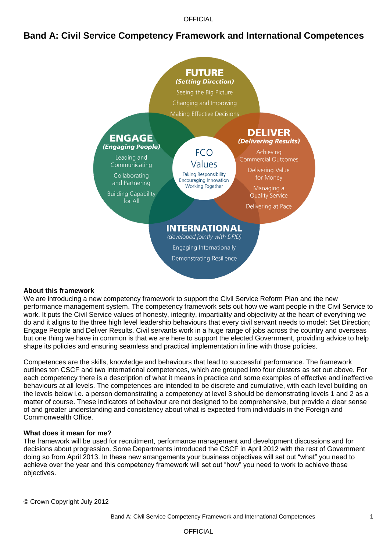**OFFICIAL** 

## **Band A: Civil Service Competency Framework and International Competences**



#### **About this framework**

We are introducing a new competency framework to support the Civil Service Reform Plan and the new performance management system. The competency framework sets out how we want people in the Civil Service to work. It puts the Civil Service values of honesty, integrity, impartiality and objectivity at the heart of everything we do and it aligns to the three high level leadership behaviours that every civil servant needs to model: Set Direction; Engage People and Deliver Results. Civil servants work in a huge range of jobs across the country and overseas but one thing we have in common is that we are here to support the elected Government, providing advice to help shape its policies and ensuring seamless and practical implementation in line with those policies.

Competences are the skills, knowledge and behaviours that lead to successful performance. The framework outlines ten CSCF and two international competences, which are grouped into four clusters as set out above. For each competency there is a description of what it means in practice and some examples of effective and ineffective behaviours at all levels. The competences are intended to be discrete and cumulative, with each level building on the levels below i.e. a person demonstrating a competency at level 3 should be demonstrating levels 1 and 2 as a matter of course. These indicators of behaviour are not designed to be comprehensive, but provide a clear sense of and greater understanding and consistency about what is expected from individuals in the Foreign and Commonwealth Office.

#### **What does it mean for me?**

The framework will be used for recruitment, performance management and development discussions and for decisions about progression. Some Departments introduced the CSCF in April 2012 with the rest of Government doing so from April 2013. In these new arrangements your business objectives will set out "what" you need to achieve over the year and this competency framework will set out "how" you need to work to achieve those objectives.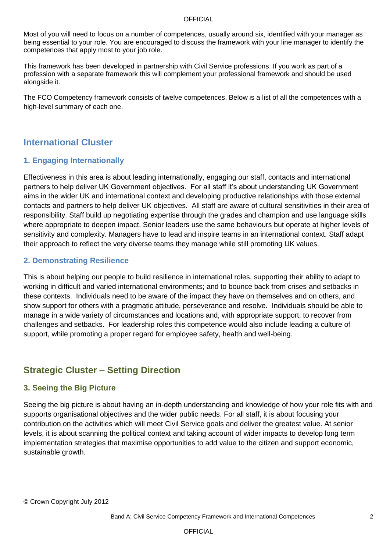#### **OFFICIAL**

Most of you will need to focus on a number of competences, usually around six, identified with your manager as being essential to your role. You are encouraged to discuss the framework with your line manager to identify the competences that apply most to your job role.

This framework has been developed in partnership with Civil Service professions. If you work as part of a profession with a separate framework this will complement your professional framework and should be used alongside it.

The FCO Competency framework consists of twelve competences. Below is a list of all the competences with a high-level summary of each one.

## **International Cluster**

### **1. Engaging Internationally**

Effectiveness in this area is about leading internationally, engaging our staff, contacts and international partners to help deliver UK Government objectives. For all staff it"s about understanding UK Government aims in the wider UK and international context and developing productive relationships with those external contacts and partners to help deliver UK objectives. All staff are aware of cultural sensitivities in their area of responsibility. Staff build up negotiating expertise through the grades and champion and use language skills where appropriate to deepen impact. Senior leaders use the same behaviours but operate at higher levels of sensitivity and complexity. Managers have to lead and inspire teams in an international context. Staff adapt their approach to reflect the very diverse teams they manage while still promoting UK values.

#### **2. Demonstrating Resilience**

This is about helping our people to build resilience in international roles, supporting their ability to adapt to working in difficult and varied international environments; and to bounce back from crises and setbacks in these contexts. Individuals need to be aware of the impact they have on themselves and on others, and show support for others with a pragmatic attitude, perseverance and resolve. Individuals should be able to manage in a wide variety of circumstances and locations and, with appropriate support, to recover from challenges and setbacks. For leadership roles this competence would also include leading a culture of support, while promoting a proper regard for employee safety, health and well-being.

# **Strategic Cluster – Setting Direction**

### **3. Seeing the Big Picture**

Seeing the big picture is about having an in-depth understanding and knowledge of how your role fits with and supports organisational objectives and the wider public needs. For all staff, it is about focusing your contribution on the activities which will meet Civil Service goals and deliver the greatest value. At senior levels, it is about scanning the political context and taking account of wider impacts to develop long term implementation strategies that maximise opportunities to add value to the citizen and support economic, sustainable growth.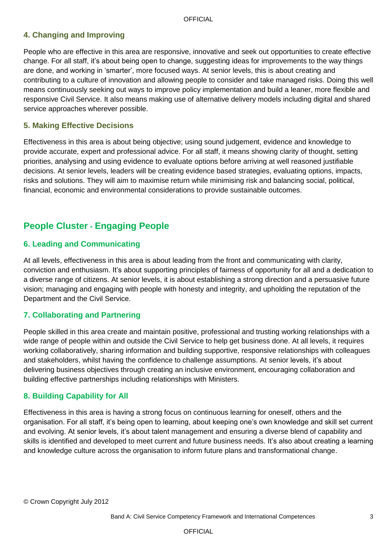## **4. Changing and Improving**

People who are effective in this area are responsive, innovative and seek out opportunities to create effective change. For all staff, it"s about being open to change, suggesting ideas for improvements to the way things are done, and working in "smarter", more focused ways. At senior levels, this is about creating and contributing to a culture of innovation and allowing people to consider and take managed risks. Doing this well means continuously seeking out ways to improve policy implementation and build a leaner, more flexible and responsive Civil Service. It also means making use of alternative delivery models including digital and shared service approaches wherever possible.

#### **5. Making Effective Decisions**

Effectiveness in this area is about being objective; using sound judgement, evidence and knowledge to provide accurate, expert and professional advice. For all staff, it means showing clarity of thought, setting priorities, analysing and using evidence to evaluate options before arriving at well reasoned justifiable decisions. At senior levels, leaders will be creating evidence based strategies, evaluating options, impacts, risks and solutions. They will aim to maximise return while minimising risk and balancing social, political, financial, economic and environmental considerations to provide sustainable outcomes.

# **People Cluster - Engaging People**

### **6. Leading and Communicating**

At all levels, effectiveness in this area is about leading from the front and communicating with clarity, conviction and enthusiasm. It"s about supporting principles of fairness of opportunity for all and a dedication to a diverse range of citizens. At senior levels, it is about establishing a strong direction and a persuasive future vision; managing and engaging with people with honesty and integrity, and upholding the reputation of the Department and the Civil Service.

### **7. Collaborating and Partnering**

People skilled in this area create and maintain positive, professional and trusting working relationships with a wide range of people within and outside the Civil Service to help get business done. At all levels, it requires working collaboratively, sharing information and building supportive, responsive relationships with colleagues and stakeholders, whilst having the confidence to challenge assumptions. At senior levels, it's about delivering business objectives through creating an inclusive environment, encouraging collaboration and building effective partnerships including relationships with Ministers.

#### **8. Building Capability for All**

Effectiveness in this area is having a strong focus on continuous learning for oneself, others and the organisation. For all staff, it"s being open to learning, about keeping one"s own knowledge and skill set current and evolving. At senior levels, it"s about talent management and ensuring a diverse blend of capability and skills is identified and developed to meet current and future business needs. It's also about creating a learning and knowledge culture across the organisation to inform future plans and transformational change.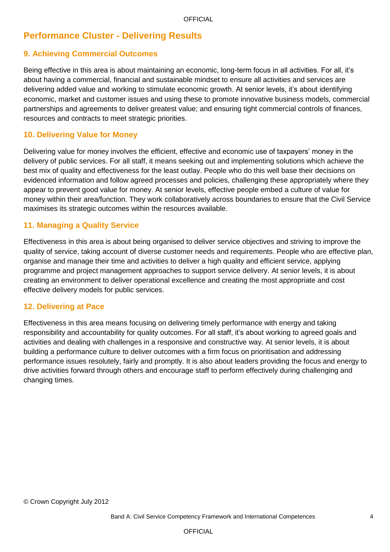# **Performance Cluster - Delivering Results**

## **9. Achieving Commercial Outcomes**

Being effective in this area is about maintaining an economic, long-term focus in all activities. For all, it"s about having a commercial, financial and sustainable mindset to ensure all activities and services are delivering added value and working to stimulate economic growth. At senior levels, it"s about identifying economic, market and customer issues and using these to promote innovative business models, commercial partnerships and agreements to deliver greatest value; and ensuring tight commercial controls of finances, resources and contracts to meet strategic priorities.

### **10. Delivering Value for Money**

Delivering value for money involves the efficient, effective and economic use of taxpayers' money in the delivery of public services. For all staff, it means seeking out and implementing solutions which achieve the best mix of quality and effectiveness for the least outlay. People who do this well base their decisions on evidenced information and follow agreed processes and policies, challenging these appropriately where they appear to prevent good value for money. At senior levels, effective people embed a culture of value for money within their area/function. They work collaboratively across boundaries to ensure that the Civil Service maximises its strategic outcomes within the resources available.

#### **11. Managing a Quality Service**

Effectiveness in this area is about being organised to deliver service objectives and striving to improve the quality of service, taking account of diverse customer needs and requirements. People who are effective plan, organise and manage their time and activities to deliver a high quality and efficient service, applying programme and project management approaches to support service delivery. At senior levels, it is about creating an environment to deliver operational excellence and creating the most appropriate and cost effective delivery models for public services.

#### **12. Delivering at Pace**

Effectiveness in this area means focusing on delivering timely performance with energy and taking responsibility and accountability for quality outcomes. For all staff, it"s about working to agreed goals and activities and dealing with challenges in a responsive and constructive way. At senior levels, it is about building a performance culture to deliver outcomes with a firm focus on prioritisation and addressing performance issues resolutely, fairly and promptly. It is also about leaders providing the focus and energy to drive activities forward through others and encourage staff to perform effectively during challenging and changing times.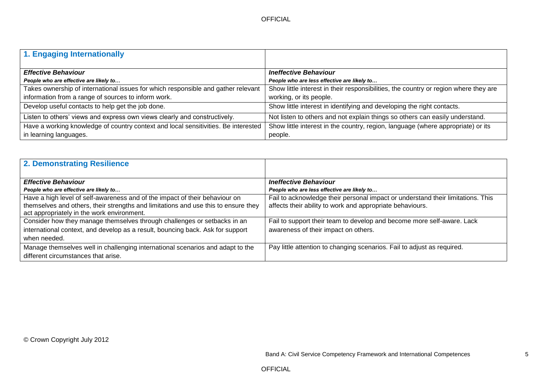| 1. Engaging Internationally                                                        |                                                                                      |
|------------------------------------------------------------------------------------|--------------------------------------------------------------------------------------|
|                                                                                    |                                                                                      |
| <b>Effective Behaviour</b>                                                         | <b>Ineffective Behaviour</b>                                                         |
| People who are effective are likely to                                             | People who are less effective are likely to                                          |
| Takes ownership of international issues for which responsible and gather relevant  | Show little interest in their responsibilities, the country or region where they are |
| information from a range of sources to inform work.                                | working, or its people.                                                              |
| Develop useful contacts to help get the job done.                                  | Show little interest in identifying and developing the right contacts.               |
| Listen to others' views and express own views clearly and constructively.          | Not listen to others and not explain things so others can easily understand.         |
| Have a working knowledge of country context and local sensitivities. Be interested | Show little interest in the country, region, language (where appropriate) or its     |
| in learning languages.                                                             | people.                                                                              |

| 2. Demonstrating Resilience                                                                                                                                                                                     |                                                                                                                                              |
|-----------------------------------------------------------------------------------------------------------------------------------------------------------------------------------------------------------------|----------------------------------------------------------------------------------------------------------------------------------------------|
| <b>Effective Behaviour</b>                                                                                                                                                                                      | <b>Ineffective Behaviour</b>                                                                                                                 |
| People who are effective are likely to                                                                                                                                                                          | People who are less effective are likely to                                                                                                  |
| Have a high level of self-awareness and of the impact of their behaviour on<br>themselves and others, their strengths and limitations and use this to ensure they<br>act appropriately in the work environment. | Fail to acknowledge their personal impact or understand their limitations. This<br>affects their ability to work and appropriate behaviours. |
| Consider how they manage themselves through challenges or setbacks in an                                                                                                                                        | Fail to support their team to develop and become more self-aware. Lack                                                                       |
| international context, and develop as a result, bouncing back. Ask for support                                                                                                                                  | awareness of their impact on others.                                                                                                         |
| when needed.                                                                                                                                                                                                    |                                                                                                                                              |
| Manage themselves well in challenging international scenarios and adapt to the                                                                                                                                  | Pay little attention to changing scenarios. Fail to adjust as required.                                                                      |
| different circumstances that arise.                                                                                                                                                                             |                                                                                                                                              |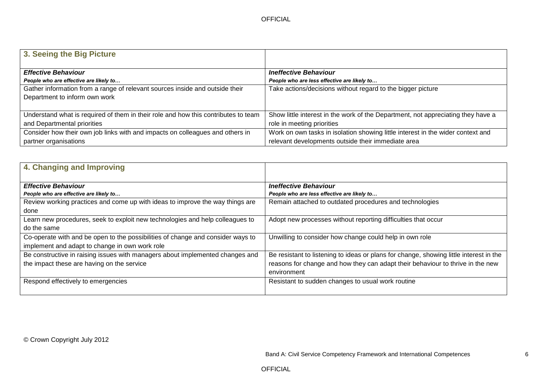| 3. Seeing the Big Picture                                                          |                                                                                  |
|------------------------------------------------------------------------------------|----------------------------------------------------------------------------------|
|                                                                                    |                                                                                  |
| <b>Effective Behaviour</b>                                                         | <b>Ineffective Behaviour</b>                                                     |
| People who are effective are likely to                                             | People who are less effective are likely to                                      |
| Gather information from a range of relevant sources inside and outside their       | Take actions/decisions without regard to the bigger picture                      |
| Department to inform own work                                                      |                                                                                  |
|                                                                                    |                                                                                  |
| Understand what is required of them in their role and how this contributes to team | Show little interest in the work of the Department, not appreciating they have a |
| and Departmental priorities                                                        | role in meeting priorities                                                       |
| Consider how their own job links with and impacts on colleagues and others in      | Work on own tasks in isolation showing little interest in the wider context and  |
| partner organisations                                                              | relevant developments outside their immediate area                               |

| 4. Changing and Improving                                                                                               |                                                                                                        |
|-------------------------------------------------------------------------------------------------------------------------|--------------------------------------------------------------------------------------------------------|
| <b>Effective Behaviour</b>                                                                                              | <b>Ineffective Behaviour</b>                                                                           |
| People who are effective are likely to<br>Review working practices and come up with ideas to improve the way things are | People who are less effective are likely to<br>Remain attached to outdated procedures and technologies |
| done                                                                                                                    |                                                                                                        |
| Learn new procedures, seek to exploit new technologies and help colleagues to                                           | Adopt new processes without reporting difficulties that occur                                          |
| do the same                                                                                                             |                                                                                                        |
| Co-operate with and be open to the possibilities of change and consider ways to                                         | Unwilling to consider how change could help in own role                                                |
| implement and adapt to change in own work role                                                                          |                                                                                                        |
| Be constructive in raising issues with managers about implemented changes and                                           | Be resistant to listening to ideas or plans for change, showing little interest in the                 |
| the impact these are having on the service                                                                              | reasons for change and how they can adapt their behaviour to thrive in the new                         |
|                                                                                                                         | environment                                                                                            |
| Respond effectively to emergencies                                                                                      | Resistant to sudden changes to usual work routine                                                      |
|                                                                                                                         |                                                                                                        |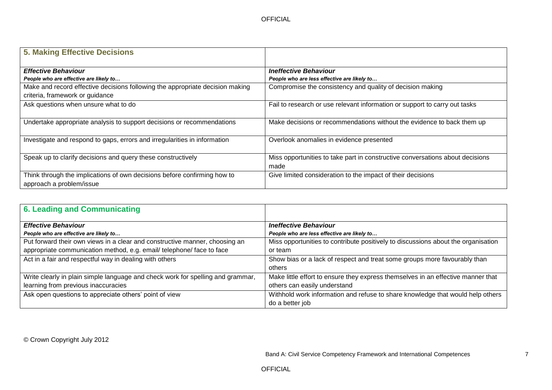| <b>5. Making Effective Decisions</b>                                                                 |                                                                                       |
|------------------------------------------------------------------------------------------------------|---------------------------------------------------------------------------------------|
| <b>Effective Behaviour</b>                                                                           | <b>Ineffective Behaviour</b>                                                          |
| People who are effective are likely to                                                               | People who are less effective are likely to                                           |
| Make and record effective decisions following the appropriate decision making                        | Compromise the consistency and quality of decision making                             |
| criteria, framework or guidance                                                                      |                                                                                       |
| Ask questions when unsure what to do                                                                 | Fail to research or use relevant information or support to carry out tasks            |
| Undertake appropriate analysis to support decisions or recommendations                               | Make decisions or recommendations without the evidence to back them up                |
| Investigate and respond to gaps, errors and irregularities in information                            | Overlook anomalies in evidence presented                                              |
| Speak up to clarify decisions and query these constructively                                         | Miss opportunities to take part in constructive conversations about decisions<br>made |
| Think through the implications of own decisions before confirming how to<br>approach a problem/issue | Give limited consideration to the impact of their decisions                           |

| 6. Leading and Communicating                                                    |                                                                                   |
|---------------------------------------------------------------------------------|-----------------------------------------------------------------------------------|
| <b>Effective Behaviour</b>                                                      | <b>Ineffective Behaviour</b>                                                      |
| People who are effective are likely to                                          | People who are less effective are likely to                                       |
| Put forward their own views in a clear and constructive manner, choosing an     | Miss opportunities to contribute positively to discussions about the organisation |
| appropriate communication method, e.g. email/ telephone/ face to face           | or team                                                                           |
| Act in a fair and respectful way in dealing with others                         | Show bias or a lack of respect and treat some groups more favourably than         |
|                                                                                 | others                                                                            |
| Write clearly in plain simple language and check work for spelling and grammar, | Make little effort to ensure they express themselves in an effective manner that  |
| learning from previous inaccuracies                                             | others can easily understand                                                      |
| Ask open questions to appreciate others' point of view                          | Withhold work information and refuse to share knowledge that would help others    |
|                                                                                 | do a better job                                                                   |

© Crown Copyright July 2012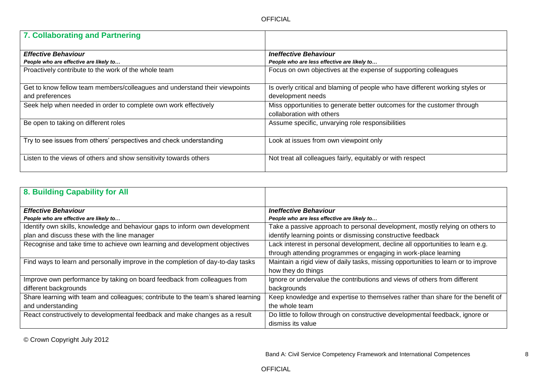| 7. Collaborating and Partnering                                            |                                                                               |
|----------------------------------------------------------------------------|-------------------------------------------------------------------------------|
| <b>Effective Behaviour</b>                                                 | <b>Ineffective Behaviour</b>                                                  |
| People who are effective are likely to                                     | People who are less effective are likely to                                   |
| Proactively contribute to the work of the whole team                       | Focus on own objectives at the expense of supporting colleagues               |
| Get to know fellow team members/colleagues and understand their viewpoints | Is overly critical and blaming of people who have different working styles or |
| and preferences                                                            | development needs                                                             |
| Seek help when needed in order to complete own work effectively            | Miss opportunities to generate better outcomes for the customer through       |
|                                                                            | collaboration with others                                                     |
| Be open to taking on different roles                                       | Assume specific, unvarying role responsibilities                              |
| Try to see issues from others' perspectives and check understanding        | Look at issues from own viewpoint only                                        |
| Listen to the views of others and show sensitivity towards others          | Not treat all colleagues fairly, equitably or with respect                    |

| 8. Building Capability for All                                                    |                                                                                    |
|-----------------------------------------------------------------------------------|------------------------------------------------------------------------------------|
| <b>Effective Behaviour</b>                                                        | <b>Ineffective Behaviour</b>                                                       |
| People who are effective are likely to                                            | People who are less effective are likely to                                        |
| Identify own skills, knowledge and behaviour gaps to inform own development       | Take a passive approach to personal development, mostly relying on others to       |
| plan and discuss these with the line manager                                      | identify learning points or dismissing constructive feedback                       |
| Recognise and take time to achieve own learning and development objectives        | Lack interest in personal development, decline all opportunities to learn e.g.     |
|                                                                                   | through attending programmes or engaging in work-place learning                    |
| Find ways to learn and personally improve in the completion of day-to-day tasks   | Maintain a rigid view of daily tasks, missing opportunities to learn or to improve |
|                                                                                   | how they do things                                                                 |
| Improve own performance by taking on board feedback from colleagues from          | Ignore or undervalue the contributions and views of others from different          |
| different backgrounds                                                             | backgrounds                                                                        |
| Share learning with team and colleagues; contribute to the team's shared learning | Keep knowledge and expertise to themselves rather than share for the benefit of    |
| and understanding                                                                 | the whole team                                                                     |
| React constructively to developmental feedback and make changes as a result       | Do little to follow through on constructive developmental feedback, ignore or      |
|                                                                                   | dismiss its value                                                                  |

© Crown Copyright July 2012

Band A: Civil Service Competency Framework and International Competences 8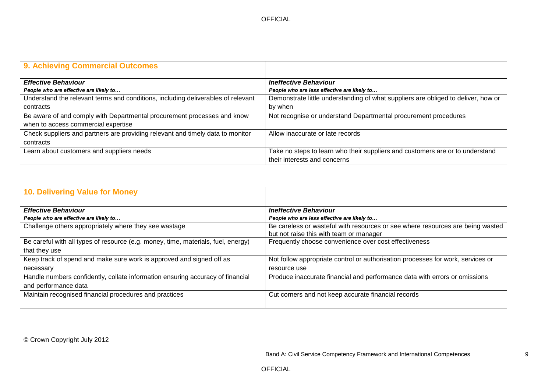OFFICIAL

| 9. Achieving Commercial Outcomes                                                 |                                                                                   |
|----------------------------------------------------------------------------------|-----------------------------------------------------------------------------------|
| <b>Effective Behaviour</b>                                                       | <b>Ineffective Behaviour</b>                                                      |
| People who are effective are likely to                                           | People who are less effective are likely to                                       |
| Understand the relevant terms and conditions, including deliverables of relevant | Demonstrate little understanding of what suppliers are obliged to deliver, how or |
| contracts                                                                        | by when                                                                           |
| Be aware of and comply with Departmental procurement processes and know          | Not recognise or understand Departmental procurement procedures                   |
| when to access commercial expertise                                              |                                                                                   |
| Check suppliers and partners are providing relevant and timely data to monitor   | Allow inaccurate or late records                                                  |
| contracts                                                                        |                                                                                   |
| Learn about customers and suppliers needs                                        | Take no steps to learn who their suppliers and customers are or to understand     |
|                                                                                  | their interests and concerns                                                      |

| <b>10. Delivering Value for Money</b>                                             |                                                                                                                           |
|-----------------------------------------------------------------------------------|---------------------------------------------------------------------------------------------------------------------------|
| <b>Effective Behaviour</b>                                                        | <b>Ineffective Behaviour</b>                                                                                              |
| People who are effective are likely to                                            | People who are less effective are likely to                                                                               |
| Challenge others appropriately where they see wastage                             | Be careless or wasteful with resources or see where resources are being wasted<br>but not raise this with team or manager |
| Be careful with all types of resource (e.g. money, time, materials, fuel, energy) | Frequently choose convenience over cost effectiveness                                                                     |
| that they use                                                                     |                                                                                                                           |
| Keep track of spend and make sure work is approved and signed off as              | Not follow appropriate control or authorisation processes for work, services or                                           |
| necessary                                                                         | resource use                                                                                                              |
| Handle numbers confidently, collate information ensuring accuracy of financial    | Produce inaccurate financial and performance data with errors or omissions                                                |
| and performance data                                                              |                                                                                                                           |
| Maintain recognised financial procedures and practices                            | Cut corners and not keep accurate financial records                                                                       |

© Crown Copyright July 2012